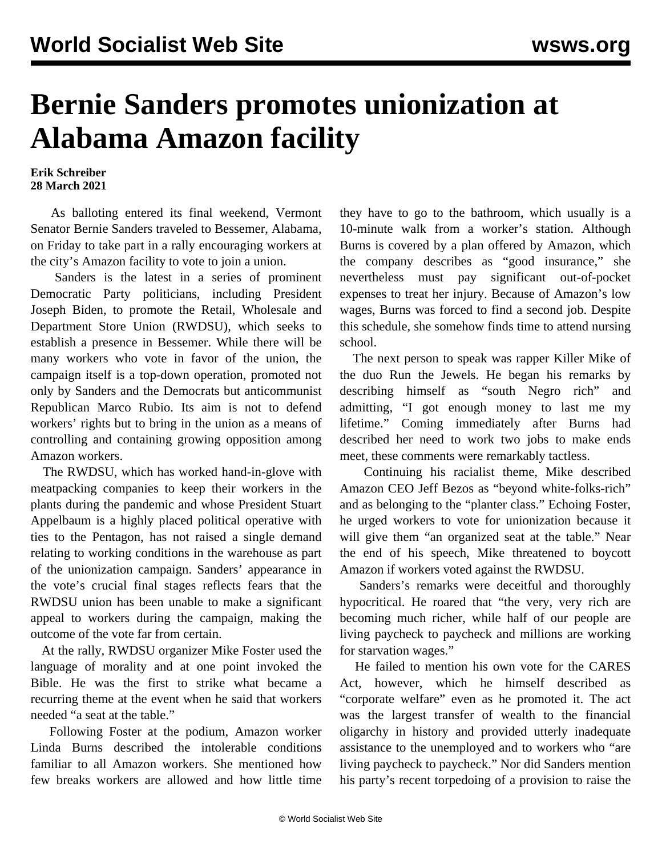## **Bernie Sanders promotes unionization at Alabama Amazon facility**

## **Erik Schreiber 28 March 2021**

 As balloting entered its final weekend, Vermont Senator Bernie Sanders traveled to Bessemer, Alabama, on Friday to take part in a rally encouraging workers at the city's Amazon facility to vote to join a union.

 Sanders is the latest in a series of prominent Democratic Party politicians, including President Joseph Biden, to promote the Retail, Wholesale and Department Store Union (RWDSU), which seeks to establish a presence in Bessemer. While there will be many workers who vote in favor of the union, the campaign itself is a top-down operation, promoted not only by Sanders and the Democrats but anticommunist Republican Marco Rubio. Its aim is not to defend workers' rights but to bring in the union as a means of controlling and containing growing opposition among Amazon workers.

 The RWDSU, which has worked hand-in-glove with meatpacking companies to keep their workers in the plants during the pandemic and whose President Stuart Appelbaum is a highly placed political operative with ties to the Pentagon, has not raised a single demand relating to working conditions in the warehouse as part of the unionization campaign. Sanders' appearance in the vote's crucial final stages reflects fears that the RWDSU union has been unable to make a significant appeal to workers during the campaign, making the outcome of the vote far from certain.

 At the rally, RWDSU organizer Mike Foster used the language of morality and at one point invoked the Bible. He was the first to strike what became a recurring theme at the event when he said that workers needed "a seat at the table."

 Following Foster at the podium, Amazon worker Linda Burns described the intolerable conditions familiar to all Amazon workers. She mentioned how few breaks workers are allowed and how little time

they have to go to the bathroom, which usually is a 10-minute walk from a worker's station. Although Burns is covered by a plan offered by Amazon, which the company describes as "good insurance," she nevertheless must pay significant out-of-pocket expenses to treat her injury. Because of Amazon's low wages, Burns was forced to find a second job. Despite this schedule, she somehow finds time to attend nursing school.

 The next person to speak was rapper Killer Mike of the duo Run the Jewels. He began his remarks by describing himself as "south Negro rich" and admitting, "I got enough money to last me my lifetime." Coming immediately after Burns had described her need to work two jobs to make ends meet, these comments were remarkably tactless.

 Continuing his racialist theme, Mike described Amazon CEO Jeff Bezos as "beyond white-folks-rich" and as belonging to the "planter class." Echoing Foster, he urged workers to vote for unionization because it will give them "an organized seat at the table." Near the end of his speech, Mike threatened to boycott Amazon if workers voted against the RWDSU.

 Sanders's remarks were deceitful and thoroughly hypocritical. He roared that "the very, very rich are becoming much richer, while half of our people are living paycheck to paycheck and millions are working for starvation wages."

 He failed to mention his own vote for the CARES Act, however, which he himself described as "corporate welfare" even as he promoted it. The act was the largest transfer of wealth to the financial oligarchy in history and provided utterly inadequate assistance to the unemployed and to workers who "are living paycheck to paycheck." Nor did Sanders mention his party's recent torpedoing of a provision to raise the